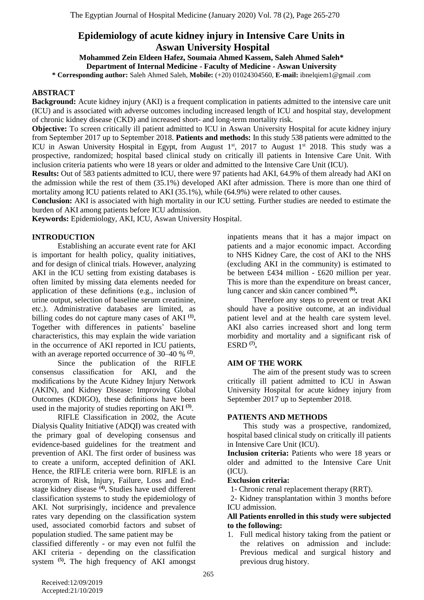# **Epidemiology of acute kidney injury in Intensive Care Units in Aswan University Hospital**

**Mohammed Zein Eldeen Hafez, Soumaia Ahmed Kassem, Saleh Ahmed Saleh\* Department of Internal Medicine - Faculty of Medicine - Aswan University**

**\* Corresponding author:** Saleh Ahmed Saleh, **Mobile:** (+20) 01024304560, **E-mail:** ibnelqiem1@gmail .com

# **ABSTRACT**

**Background:** Acute kidney injury (AKI) is a frequent complication in patients admitted to the intensive care unit (ICU) and is associated with adverse outcomes including increased length of ICU and hospital stay, development of chronic kidney disease (CKD) and increased short- and long-term mortality risk.

**Objective:** To screen critically ill patient admitted to ICU in Aswan University Hospital for acute kidney injury from September 2017 up to September 2018. **Patients and methods:** In this study 538 patients were admitted to the ICU in Aswan University Hospital in Egypt, from August  $1<sup>st</sup>$ , 2017 to August  $1<sup>st</sup>$  2018. This study was a prospective, randomized; hospital based clinical study on critically ill patients in Intensive Care Unit. With inclusion criteria patients who were 18 years or older and admitted to the Intensive Care Unit (ICU).

**Results:** Out of 583 patients admitted to ICU, there were 97 patients had AKI, 64.9% of them already had AKI on the admission while the rest of them (35.1%) developed AKI after admission. There is more than one third of mortality among ICU patients related to AKI (35.1%), while (64.9%) were related to other causes.

**Conclusion:** AKI is associated with high mortality in our ICU setting. Further studies are needed to estimate the burden of AKI among patients before ICU admission.

**Keywords:** Epidemiology, AKI, ICU, Aswan University Hospital.

# **INTRODUCTION**

Establishing an accurate event rate for AKI is important for health policy, quality initiatives, and for design of clinical trials. However, analyzing AKI in the ICU setting from existing databases is often limited by missing data elements needed for application of these definitions (e.g., inclusion of urine output, selection of baseline serum creatinine, etc.). Administrative databases are limited, as billing codes do not capture many cases of AKI **(1) .** Together with differences in patients' baseline characteristics, this may explain the wide variation in the occurrence of AKI reported in ICU patients, with an average reported occurrence of 30–40 % <sup>(2)</sup>.

Since the publication of the RIFLE consensus classification for AKI, and the modifications by the Acute Kidney Injury Network (AKIN), and Kidney Disease: Improving Global Outcomes (KDIGO), these definitions have been used in the majority of studies reporting on AKI **(3)** .

RIFLE Classification in 2002, the Acute Dialysis Quality Initiative (ADQI) was created with the primary goal of developing consensus and evidence-based guidelines for the treatment and prevention of AKI. The first order of business was to create a uniform, accepted definition of AKI. Hence, the RIFLE criteria were born. RIFLE is an acronym of Risk, Injury, Failure, Loss and Endstage kidney disease **(4) .** Studies have used different classification systems to study the epidemiology of AKI. Not surprisingly, incidence and prevalence rates vary depending on the classification system used, associated comorbid factors and subset of population studied. The same patient may be

classified differently - or may even not fulfil the AKI criteria - depending on the classification system **(5) .** The high frequency of AKI amongst

inpatients means that it has a major impact on patients and a major economic impact. According to NHS Kidney Care, the cost of AKI to the NHS (excluding AKI in the community) is estimated to be between £434 million - £620 million per year. This is more than the expenditure on breast cancer, lung cancer and skin cancer combined **(6) .**

Therefore any steps to prevent or treat AKI should have a positive outcome, at an individual patient level and at the health care system level. AKI also carries increased short and long term morbidity and mortality and a significant risk of ESRD **(7) .**

#### **AIM OF THE WORK**

The aim of the present study was to screen critically ill patient admitted to ICU in Aswan University Hospital for acute kidney injury from September 2017 up to September 2018.

#### **PATIENTS AND METHODS**

This study was a prospective, randomized, hospital based clinical study on critically ill patients in Intensive Care Unit (ICU).

**Inclusion criteria:** Patients who were 18 years or older and admitted to the Intensive Care Unit (ICU).

#### **Exclusion criteria:**

1- Chronic renal replacement therapy (RRT).

2- Kidney transplantation within 3 months before ICU admission.

#### **All Patients enrolled in this study were subjected to the following:**

1. Full medical history taking from the patient or the relatives on admission and include: Previous medical and surgical history and previous drug history.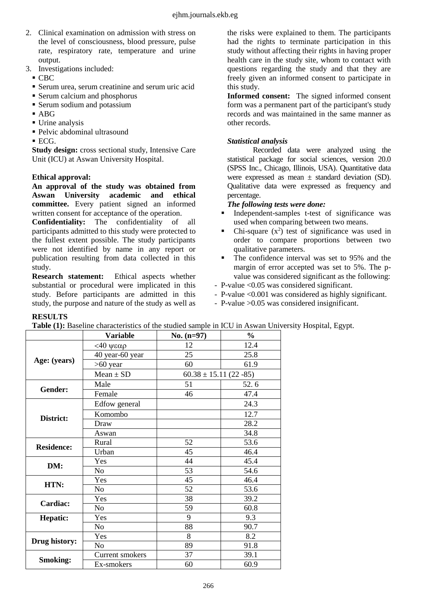- 2. Clinical examination on admission with stress on the level of consciousness, blood pressure, pulse rate, respiratory rate, temperature and urine output.
- 3. Investigations included:
	- CBC
	- Serum urea, serum creatinine and serum uric acid
	- Serum calcium and phosphorus
	- **Serum sodium and potassium**
	- ABG
	- **Urine analysis**
	- Pelvic abdominal ultrasound
	- $\blacksquare$  ECG.

**Study design:** cross sectional study, Intensive Care Unit (ICU) at Aswan University Hospital.

# **Ethical approval:**

**An approval of the study was obtained from Aswan University academic and ethical committee.** Every patient signed an informed written consent for acceptance of the operation.

**Confidentiality:** The confidentiality of all participants admitted to this study were protected to the fullest extent possible. The study participants were not identified by name in any report or publication resulting from data collected in this study.

**Research statement:** Ethical aspects whether substantial or procedural were implicated in this study. Before participants are admitted in this study, the purpose and nature of the study as well as

the risks were explained to them. The participants had the rights to terminate participation in this study without affecting their rights in having proper health care in the study site, whom to contact with questions regarding the study and that they are freely given an informed consent to participate in this study.

**Informed consent:** The signed informed consent form was a permanent part of the participant's study records and was maintained in the same manner as other records.

# *Statistical analysis*

Recorded data were analyzed using the statistical package for social sciences, version 20.0 (SPSS Inc., Chicago, Illinois, USA). Quantitative data were expressed as mean  $\pm$  standard deviation (SD). Qualitative data were expressed as frequency and percentage.

# *The following tests were done:*

- Independent-samples t-test of significance was used when comparing between two means.
- Chi-square  $(x^2)$  test of significance was used in order to compare proportions between two qualitative parameters.
- The confidence interval was set to 95% and the margin of error accepted was set to 5%. The pvalue was considered significant as the following:
- P-value <0.05 was considered significant.
- P-value <0.001 was considered as highly significant.
- P-value >0.05 was considered insignificant.

| <b>RESULTS</b>    |                                                                                        |                            |               |
|-------------------|----------------------------------------------------------------------------------------|----------------------------|---------------|
|                   | Table (1): Baseline characteristics of the studied sample in ICU in Aswan University I |                            |               |
|                   | <b>Variable</b>                                                                        | No. $(n=97)$               | $\frac{0}{0}$ |
|                   | $140$ ψεαρ                                                                             | 12                         | 12.4          |
| Age: (years)      | 40 year-60 year                                                                        | 25                         | 25.8          |
|                   | $>60$ year                                                                             | 60                         | 61.9          |
|                   | $Mean \pm SD$                                                                          | $60.38 \pm 15.11$ (22 -85) |               |
| <b>Gender:</b>    | Male                                                                                   | 51                         | 52.6          |
|                   | Female                                                                                 | 46                         | 47.4          |
|                   | Edfow general                                                                          |                            | 24.3          |
| District:         | Komombo                                                                                |                            | 12.7          |
|                   | Draw                                                                                   |                            | 28.2          |
|                   | Aswan                                                                                  |                            | 34.8          |
| <b>Residence:</b> | Rural                                                                                  | 52                         | 53.6          |
|                   | Urban                                                                                  | 45                         | 46.4          |
|                   | Yes                                                                                    | 44                         | 45.4          |
| DM:               | N <sub>o</sub>                                                                         | 53                         | 54.6          |
| HTN:              | Yes                                                                                    | 45                         | 46.4          |
|                   | N <sub>o</sub>                                                                         | 52                         | 53.6          |
| Cardiac:          | Yes                                                                                    | 38                         | 39.2          |
|                   | N <sub>o</sub>                                                                         | 59                         | 60.8          |
| Hepatic:          | Yes                                                                                    | 9                          | 9.3           |
|                   | No                                                                                     | 88                         | 90.7          |
| Drug history:     | Yes                                                                                    | 8                          | 8.2           |
|                   | N <sub>o</sub>                                                                         | 89                         | 91.8          |
|                   | Current smokers                                                                        | 37                         | 39.1          |
| <b>Smoking:</b>   | Ex-smokers                                                                             | 60                         | 60.9          |

**Table Hospital**, Egypt.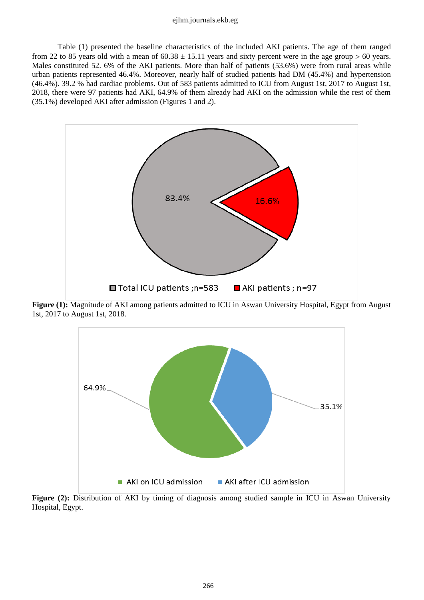#### ejhm.journals.ekb.eg

Table (1) presented the baseline characteristics of the included AKI patients. The age of them ranged from 22 to 85 years old with a mean of  $60.38 \pm 15.11$  years and sixty percent were in the age group > 60 years. Males constituted 52. 6% of the AKI patients. More than half of patients (53.6%) were from rural areas while urban patients represented 46.4%. Moreover, nearly half of studied patients had DM (45.4%) and hypertension (46.4%). 39.2 % had cardiac problems. Out of 583 patients admitted to ICU from August 1st, 2017 to August 1st, 2018, there were 97 patients had AKI, 64.9% of them already had AKI on the admission while the rest of them (35.1%) developed AKI after admission (Figures 1 and 2).



**Figure (1):** Magnitude of AKI among patients admitted to ICU in Aswan University Hospital, Egypt from August 1st, 2017 to August 1st, 2018.



Figure (2): Distribution of AKI by timing of diagnosis among studied sample in ICU in Aswan University Hospital, Egypt.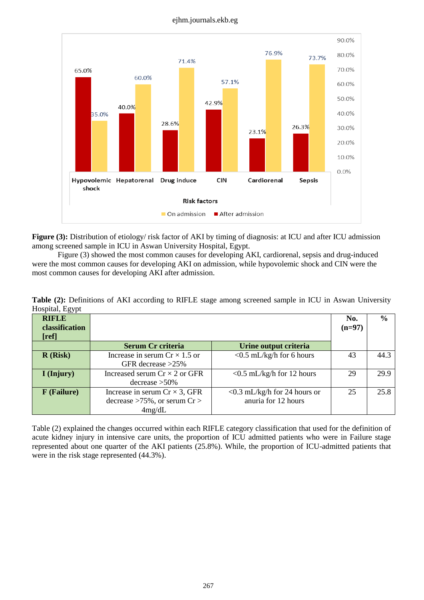#### ejhm.journals.ekb.eg



**Figure (3):** Distribution of etiology/ risk factor of AKI by timing of diagnosis: at ICU and after ICU admission among screened sample in ICU in Aswan University Hospital, Egypt.

Figure (3) showed the most common causes for developing AKI, cardiorenal, sepsis and drug-induced were the most common causes for developing AKI on admission, while hypovolemic shock and CIN were the most common causes for developing AKI after admission.

| $1100$ prair, $E_{5J}$ pr |                                       |                                 |          |               |
|---------------------------|---------------------------------------|---------------------------------|----------|---------------|
| <b>RIFLE</b>              |                                       |                                 | No.      | $\frac{6}{6}$ |
| classification            |                                       |                                 | $(n=97)$ |               |
| [ref]                     |                                       |                                 |          |               |
|                           | <b>Serum Cr criteria</b>              | Urine output criteria           |          |               |
| R(Risk)                   | Increase in serum $Cr \times 1.5$ or  | $<$ 0.5 mL/kg/h for 6 hours     | 43       | 44.3          |
|                           | GFR decrease $>25\%$                  |                                 |          |               |
| I (Injury)                | Increased serum $Cr \times 2$ or GFR  | $<$ 0.5 mL/kg/h for 12 hours    | 29       | 29.9          |
|                           | $\frac{30}{6}$ decrease $>50\%$       |                                 |          |               |
| <b>F</b> (Failure)        | Increase in serum $Cr \times 3$ , GFR | $<$ 0.3 mL/kg/h for 24 hours or | 25       | 25.8          |
|                           | decrease $>75\%$ , or serum Cr $>$    | anuria for 12 hours             |          |               |
|                           | 4mg/dL                                |                                 |          |               |

**Table (2):** Definitions of AKI according to RIFLE stage among screened sample in ICU in Aswan University Hospital, Egypt

Table (2) explained the changes occurred within each RIFLE category classification that used for the definition of acute kidney injury in intensive care units, the proportion of ICU admitted patients who were in Failure stage represented about one quarter of the AKI patients (25.8%). While, the proportion of ICU-admitted patients that were in the risk stage represented (44.3%).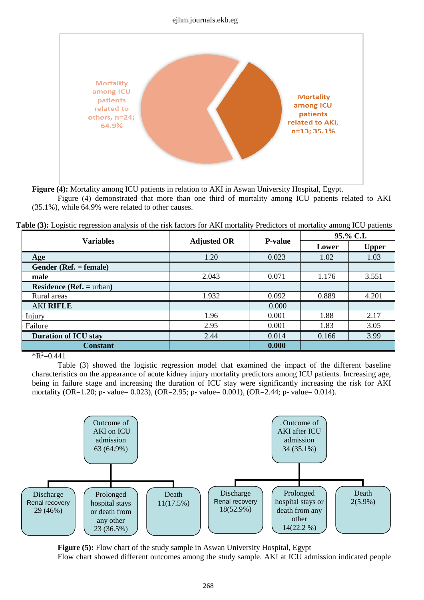#### ejhm.journals.ekb.eg



**Figure (4):** Mortality among ICU patients in relation to AKI in Aswan University Hospital, Egypt.

Figure (4) demonstrated that more than one third of mortality among ICU patients related to AKI (35.1%), while 64.9% were related to other causes.

| <b>Variables</b>                | <b>Adjusted OR</b> | <b>P-value</b> | 95.% C.I. |              |
|---------------------------------|--------------------|----------------|-----------|--------------|
|                                 |                    |                | Lower     | <b>Upper</b> |
| Age                             | 1.20               | 0.023          | 1.02      | 1.03         |
| Gender (Ref. = female)          |                    |                |           |              |
| male                            | 2.043              | 0.071          | 1.176     | 3.551        |
| <b>Residence (Ref. = urban)</b> |                    |                |           |              |
| Rural areas                     | 1.932              | 0.092          | 0.889     | 4.201        |
| <b>AKI RIFLE</b>                |                    | 0.000          |           |              |
| Injury                          | 1.96               | 0.001          | 1.88      | 2.17         |
| Failure                         | 2.95               | 0.001          | 1.83      | 3.05         |
| <b>Duration of ICU stay</b>     | 2.44               | 0.014          | 0.166     | 3.99         |
| <b>Constant</b>                 |                    | 0.000          |           |              |

 $R^2=0.441$ 

Table (3) showed the logistic regression model that examined the impact of the different baseline characteristics on the appearance of acute kidney injury mortality predictors among ICU patients. Increasing age, being in failure stage and increasing the duration of ICU stay were significantly increasing the risk for AKI mortality (OR=1.20; p- value= 0.023), (OR=2.95; p- value= 0.001), (OR=2.44; p- value= 0.014).



**Figure (5):** Flow chart of the study sample in Aswan University Hospital, Egypt

Flow chart showed different outcomes among the study sample. AKI at ICU admission indicated people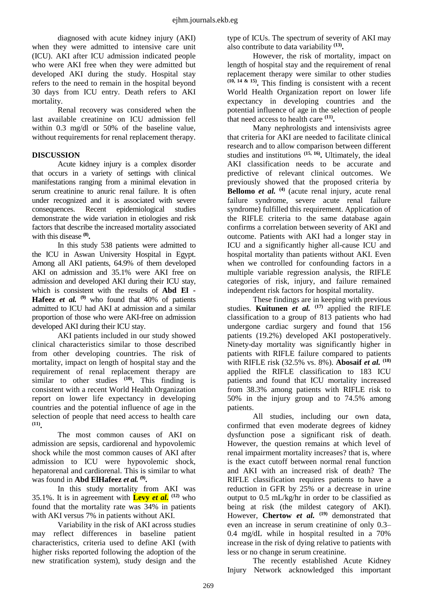diagnosed with acute kidney injury (AKI) when they were admitted to intensive care unit (ICU). AKI after ICU admission indicated people who were AKI free when they were admitted but developed AKI during the study. Hospital stay refers to the need to remain in the hospital beyond 30 days from ICU entry. Death refers to AKI mortality.

Renal recovery was considered when the last available creatinine on ICU admission fell within 0.3 mg/dl or 50% of the baseline value, without requirements for renal replacement therapy.

# **DISCUSSION**

Acute kidney injury is a complex disorder that occurs in a variety of settings with clinical manifestations ranging from a minimal elevation in serum creatinine to anuric renal failure. It is often under recognized and it is associated with severe consequences. Recent epidemiological studies demonstrate the wide variation in etiologies and risk factors that describe the increased mortality associated with this disease **(8) .**

In this study 538 patients were admitted to the ICU in Aswan University Hospital in Egypt. Among all AKI patients, 64.9% of them developed AKI on admission and 35.1% were AKI free on admission and developed AKI during their ICU stay, which is consistent with the results of **[Abd El](https://www.ncbi.nlm.nih.gov/pubmed/?term=Abd%20ElHafeez%20S%5BAuthor%5D&cauthor=true&cauthor_uid=29215080) - [Hafeez](https://www.ncbi.nlm.nih.gov/pubmed/?term=Abd%20ElHafeez%20S%5BAuthor%5D&cauthor=true&cauthor_uid=29215080)** *et al.* **(9)** who found that 40% of patients admitted to ICU had AKI at admission and a similar proportion of those who were AKI-free on admission developed AKI during their ICU stay.

AKI patients included in our study showed clinical characteristics similar to those described from other developing countries. The risk of mortality, impact on length of hospital stay and the requirement of renal replacement therapy are similar to other studies **(10) .** This finding is consistent with a recent World Health Organization report on lower life expectancy in developing countries and the potential influence of age in the selection of people that need access to health care **(11) .**

The most common causes of AKI on admission are sepsis, cardiorenal and hypovolemic shock while the most common causes of AKI after admission to ICU were hypovolemic shock, hepatorenal and cardiorenal. This is similar to what was found in **[Abd ElHafeez](https://www.ncbi.nlm.nih.gov/pubmed/?term=Abd%20ElHafeez%20S%5BAuthor%5D&cauthor=true&cauthor_uid=29215080)** *et al.* **(9) .**

In this study mortality from AKI was 35.1%. It is in agreement with **Levy** *et al.*  $^{(12)}$  who found that the mortality rate was 34% in patients with AKI versus 7% in patients without AKI.

Variability in the risk of AKI across studies may reflect differences in baseline patient characteristics, criteria used to define AKI (with higher risks reported following the adoption of the new stratification system), study design and the type of ICUs. The spectrum of severity of AKI may also contribute to data variability **(13) .**

However, the risk of mortality, impact on length of hospital stay and the requirement of renal replacement therapy were similar to other studies **(10, 14 & 15) .** This finding is consistent with a recent World Health Organization report on lower life expectancy in developing countries and the potential influence of age in the selection of people that need access to health care **(11) .**

Many nephrologists and intensivists agree that criteria for AKI are needed to facilitate clinical research and to allow comparison between different studies and institutions **(15, 16) .** Ultimately, the ideal AKI classification needs to be accurate and predictive of relevant clinical outcomes. We previously showed that the proposed criteria by **Bellomo** *et al.* **(4)** (acute renal injury, acute renal failure syndrome, severe acute renal failure syndrome) fulfilled this requirement. Application of the RIFLE criteria to the same database again confirms a correlation between severity of AKI and outcome. Patients with AKI had a longer stay in ICU and a significantly higher all-cause ICU and hospital mortality than patients without AKI. Even when we controlled for confounding factors in a multiple variable regression analysis, the RIFLE categories of risk, injury, and failure remained independent risk factors for hospital mortality.

These findings are in keeping with previous studies. **Kuitunen** *et al.* **(17)** applied the RIFLE classification to a group of 813 patients who had undergone cardiac surgery and found that 156 patients (19.2%) developed AKI postoperatively. Ninety-day mortality was significantly higher in patients with RIFLE failure compared to patients with RIFLE risk (32.5% vs. 8%). **Abosaif** *et al.* **(18)** applied the RIFLE classification to 183 ICU patients and found that ICU mortality increased from 38.3% among patients with RIFLE risk to 50% in the injury group and to 74.5% among patients.

All studies, including our own data, confirmed that even moderate degrees of kidney dysfunction pose a significant risk of death. However, the question remains at which level of renal impairment mortality increases? that is, where is the exact cutoff between normal renal function and AKI with an increased risk of death? The RIFLE classification requires patients to have a reduction in GFR by 25% or a decrease in urine output to 0.5 mL/kg/hr in order to be classified as being at risk (the mildest category of AKI). However, **Chertow** *et al.* **(19)** demonstrated that even an increase in serum creatinine of only 0.3– 0.4 mg/dL while in hospital resulted in a 70% increase in the risk of dying relative to patients with less or no change in serum creatinine.

The recently established Acute Kidney Injury Network acknowledged this important